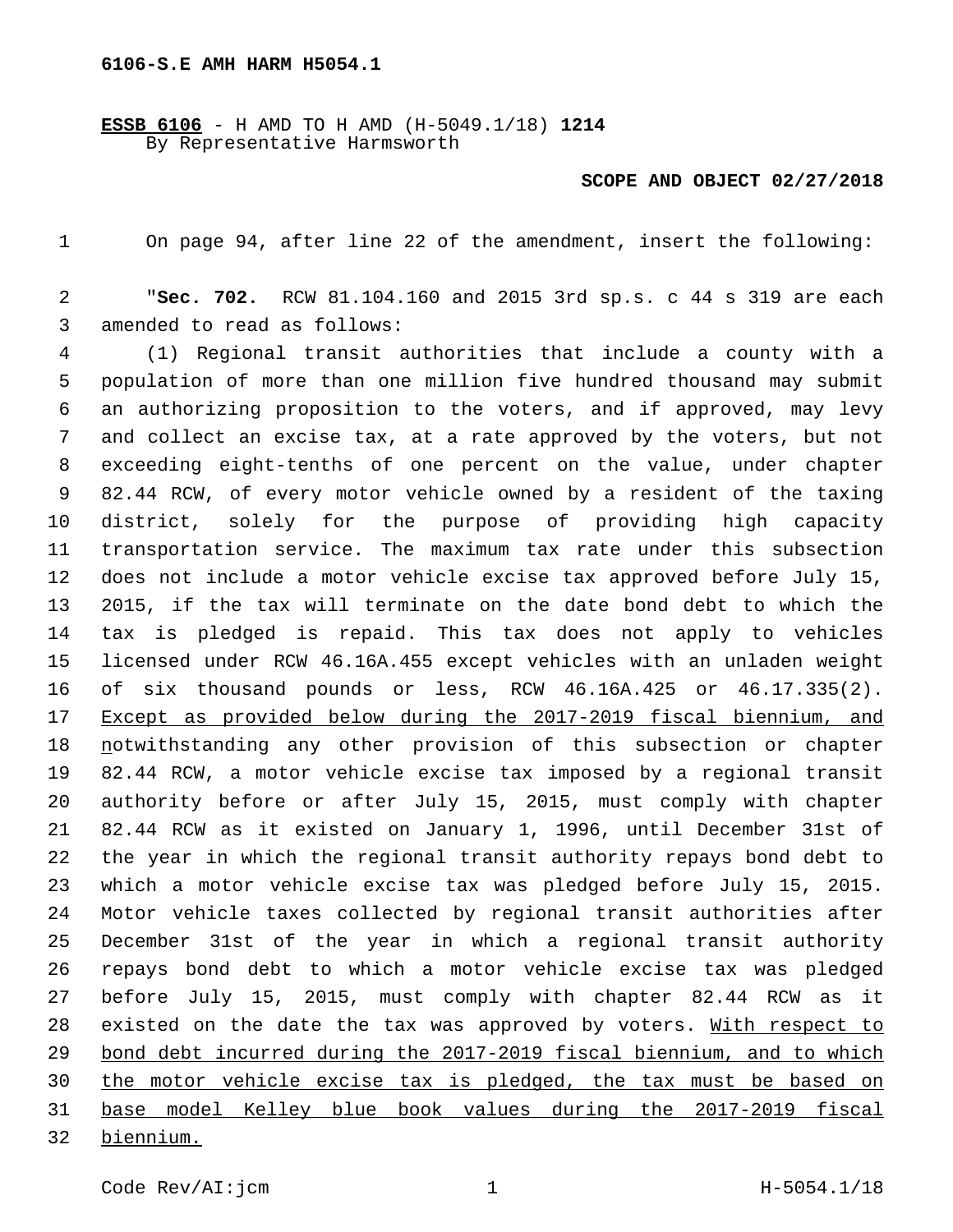## **6106-S.E AMH HARM H5054.1**

**ESSB 6106** - H AMD TO H AMD (H-5049.1/18) **1214** By Representative Harmsworth

## **SCOPE AND OBJECT 02/27/2018**

On page 94, after line 22 of the amendment, insert the following:

 "**Sec. 702.** RCW 81.104.160 and 2015 3rd sp.s. c 44 s 319 are each 3 amended to read as follows:

 (1) Regional transit authorities that include a county with a population of more than one million five hundred thousand may submit an authorizing proposition to the voters, and if approved, may levy and collect an excise tax, at a rate approved by the voters, but not exceeding eight-tenths of one percent on the value, under chapter 82.44 RCW, of every motor vehicle owned by a resident of the taxing district, solely for the purpose of providing high capacity transportation service. The maximum tax rate under this subsection does not include a motor vehicle excise tax approved before July 15, 2015, if the tax will terminate on the date bond debt to which the tax is pledged is repaid. This tax does not apply to vehicles licensed under RCW 46.16A.455 except vehicles with an unladen weight of six thousand pounds or less, RCW 46.16A.425 or 46.17.335(2). Except as provided below during the 2017-2019 fiscal biennium, and notwithstanding any other provision of this subsection or chapter 82.44 RCW, a motor vehicle excise tax imposed by a regional transit authority before or after July 15, 2015, must comply with chapter 82.44 RCW as it existed on January 1, 1996, until December 31st of the year in which the regional transit authority repays bond debt to which a motor vehicle excise tax was pledged before July 15, 2015. Motor vehicle taxes collected by regional transit authorities after December 31st of the year in which a regional transit authority repays bond debt to which a motor vehicle excise tax was pledged before July 15, 2015, must comply with chapter 82.44 RCW as it 28 existed on the date the tax was approved by voters. With respect to bond debt incurred during the 2017-2019 fiscal biennium, and to which the motor vehicle excise tax is pledged, the tax must be based on base model Kelley blue book values during the 2017-2019 fiscal biennium.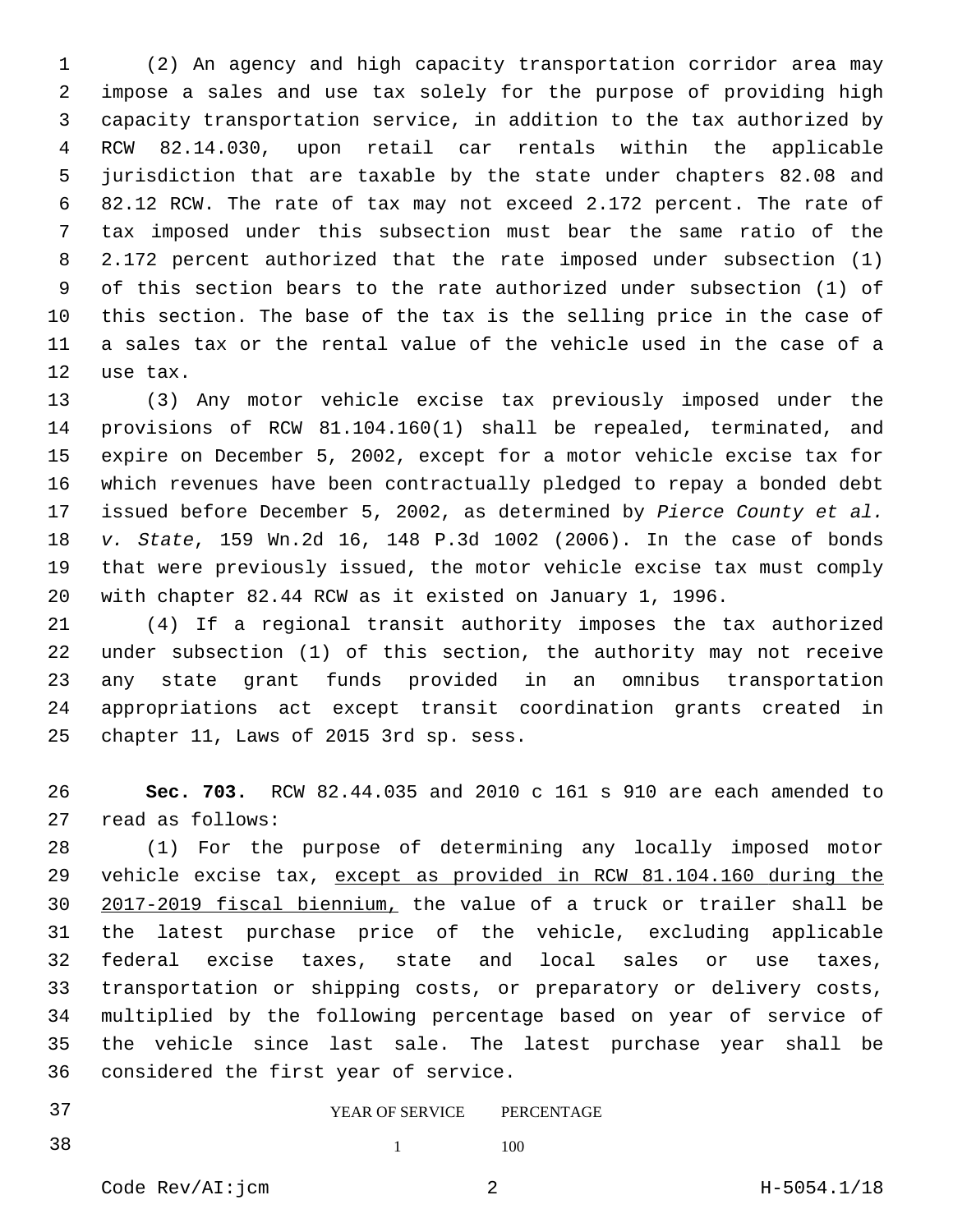(2) An agency and high capacity transportation corridor area may impose a sales and use tax solely for the purpose of providing high capacity transportation service, in addition to the tax authorized by RCW 82.14.030, upon retail car rentals within the applicable jurisdiction that are taxable by the state under chapters 82.08 and 82.12 RCW. The rate of tax may not exceed 2.172 percent. The rate of tax imposed under this subsection must bear the same ratio of the 2.172 percent authorized that the rate imposed under subsection (1) of this section bears to the rate authorized under subsection (1) of this section. The base of the tax is the selling price in the case of a sales tax or the rental value of the vehicle used in the case of a 12 use tax.

 (3) Any motor vehicle excise tax previously imposed under the provisions of RCW 81.104.160(1) shall be repealed, terminated, and expire on December 5, 2002, except for a motor vehicle excise tax for which revenues have been contractually pledged to repay a bonded debt issued before December 5, 2002, as determined by *Pierce County et al. v. State*, 159 Wn.2d 16, 148 P.3d 1002 (2006). In the case of bonds that were previously issued, the motor vehicle excise tax must comply with chapter 82.44 RCW as it existed on January 1, 1996.

 (4) If a regional transit authority imposes the tax authorized under subsection (1) of this section, the authority may not receive any state grant funds provided in an omnibus transportation appropriations act except transit coordination grants created in 25 chapter 11, Laws of 2015 3rd sp. sess.

 **Sec. 703.** RCW 82.44.035 and 2010 c 161 s 910 are each amended to 27 read as follows:

 (1) For the purpose of determining any locally imposed motor vehicle excise tax, except as provided in RCW 81.104.160 during the 2017-2019 fiscal biennium, the value of a truck or trailer shall be the latest purchase price of the vehicle, excluding applicable federal excise taxes, state and local sales or use taxes, transportation or shipping costs, or preparatory or delivery costs, multiplied by the following percentage based on year of service of the vehicle since last sale. The latest purchase year shall be 36 considered the first year of service.

## YEAR OF SERVICE PERCENTAGE

38 1 100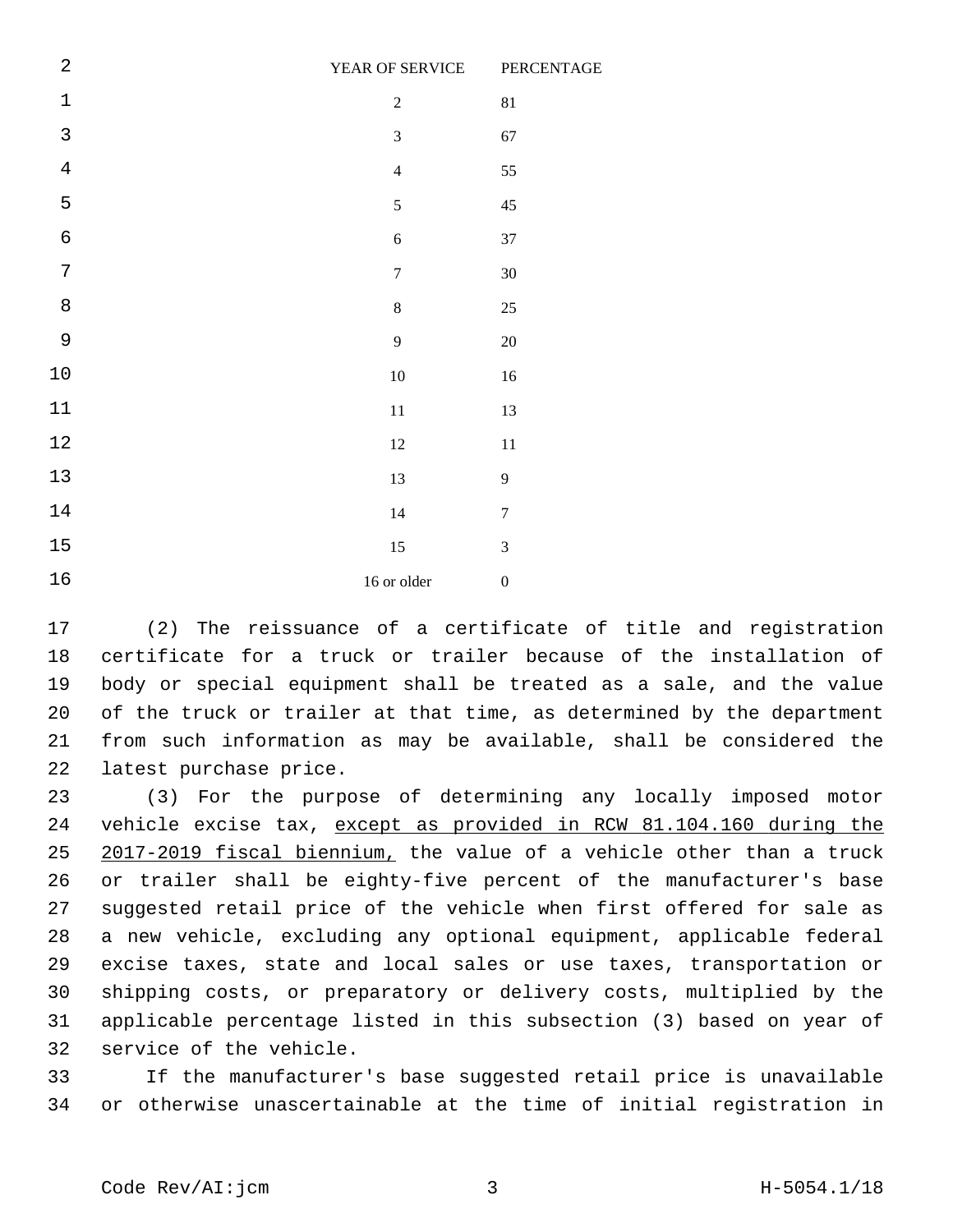| $\sqrt{2}$     | YEAR OF SERVICE  | PERCENTAGE       |
|----------------|------------------|------------------|
| $\mathbf{1}$   | $\sqrt{2}$       | $81\,$           |
| $\overline{3}$ | $\mathfrak{Z}$   | 67               |
| $\overline{4}$ | $\overline{4}$   | 55               |
| 5              | 5                | $45\,$           |
| 6              | 6                | $37\,$           |
| 7              | $\boldsymbol{7}$ | $30\,$           |
| $\,8\,$        | $\,8\,$          | $25\,$           |
| 9              | 9                | $20\,$           |
| $10$           | $10\,$           | $16\,$           |
| $11\,$         | $11\,$           | 13               |
| $1\,2$         | $12\,$           | $11\,$           |
| $13$           | 13               | $\mathbf{9}$     |
| $14$           | $14\,$           | $\tau$           |
| $15$           | 15               | $\mathfrak{Z}$   |
| $16$           | 16 or older      | $\boldsymbol{0}$ |

 (2) The reissuance of a certificate of title and registration certificate for a truck or trailer because of the installation of body or special equipment shall be treated as a sale, and the value of the truck or trailer at that time, as determined by the department from such information as may be available, shall be considered the 22 latest purchase price.

 (3) For the purpose of determining any locally imposed motor vehicle excise tax, except as provided in RCW 81.104.160 during the 2017-2019 fiscal biennium, the value of a vehicle other than a truck or trailer shall be eighty-five percent of the manufacturer's base suggested retail price of the vehicle when first offered for sale as a new vehicle, excluding any optional equipment, applicable federal excise taxes, state and local sales or use taxes, transportation or shipping costs, or preparatory or delivery costs, multiplied by the applicable percentage listed in this subsection (3) based on year of 32 service of the vehicle.

 If the manufacturer's base suggested retail price is unavailable or otherwise unascertainable at the time of initial registration in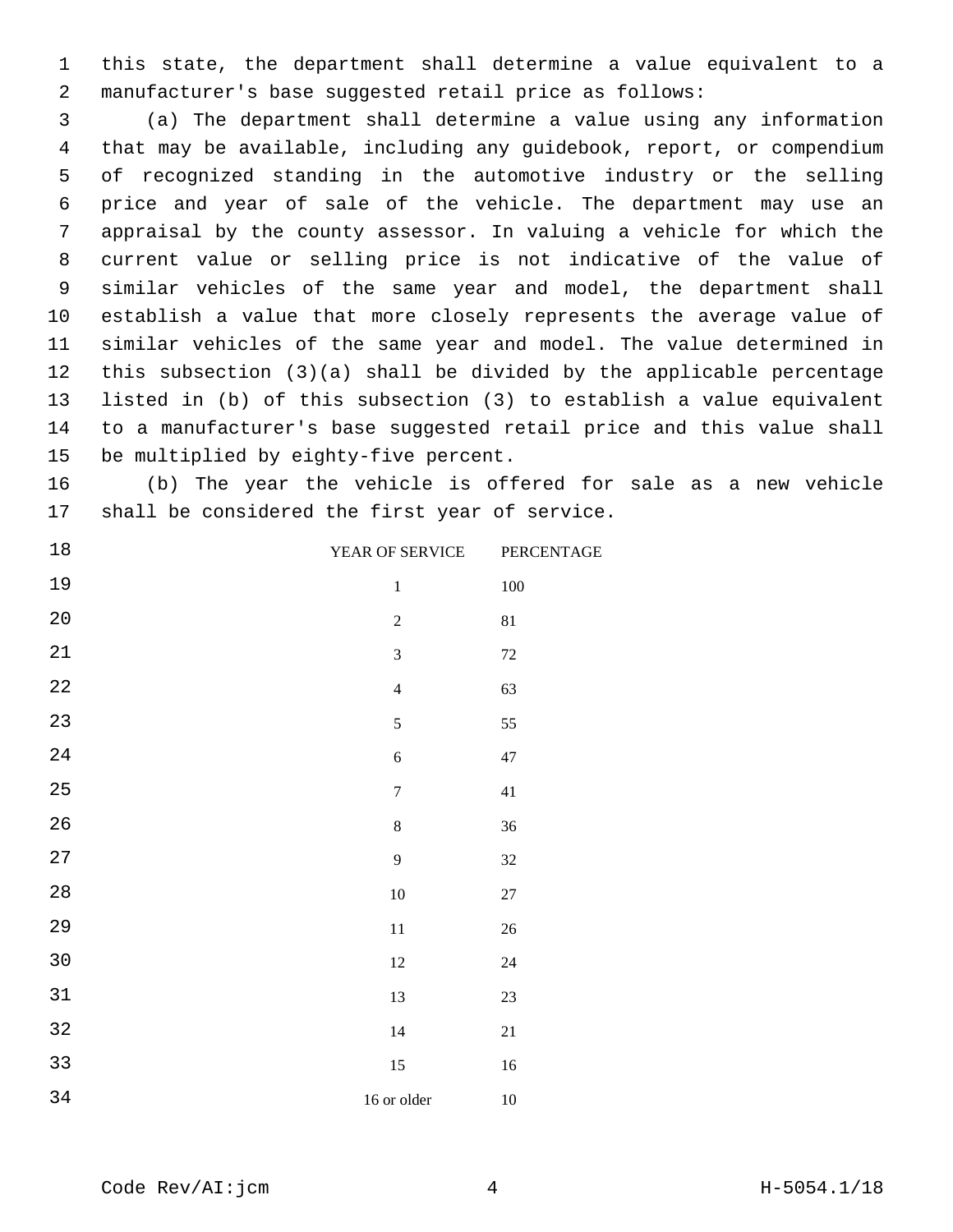this state, the department shall determine a value equivalent to a manufacturer's base suggested retail price as follows:

 (a) The department shall determine a value using any information that may be available, including any guidebook, report, or compendium of recognized standing in the automotive industry or the selling price and year of sale of the vehicle. The department may use an appraisal by the county assessor. In valuing a vehicle for which the current value or selling price is not indicative of the value of similar vehicles of the same year and model, the department shall establish a value that more closely represents the average value of similar vehicles of the same year and model. The value determined in this subsection (3)(a) shall be divided by the applicable percentage listed in (b) of this subsection (3) to establish a value equivalent to a manufacturer's base suggested retail price and this value shall 15 be multiplied by eighty-five percent.

 (b) The year the vehicle is offered for sale as a new vehicle 17 shall be considered the first year of service.

| $18\,$      | YEAR OF SERVICE  | PERCENTAGE |
|-------------|------------------|------------|
| 19          | $\,1\,$          | $100\,$    |
| $2\,0$      | $\boldsymbol{2}$ | 81         |
| $21\,$      | $\overline{3}$   | $72\,$     |
| $2\sqrt{2}$ | $\overline{4}$   | 63         |
| 23          | 5                | 55         |
| 24          | $\sqrt{6}$       | $47\,$     |
| 25          | $\boldsymbol{7}$ | 41         |
| 26          | $\,8\,$          | 36         |
| $2\,7$      | $\overline{9}$   | 32         |
| $2\,8$      | $10\,$           | $27\,$     |
| 29          | $11\,$           | $26\,$     |
| $30$        | $12\,$           | $24\,$     |
| $31\,$      | 13               | 23         |
| $32\,$      | $14\,$           | $21\,$     |
| 33          | 15               | $16\,$     |
| 34          | 16 or older      | $10\,$     |